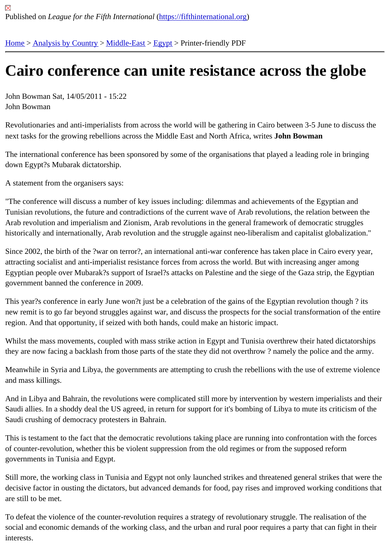## [Ca](https://fifthinternational.org/)i[ro confere](https://fifthinternational.org/category/1)[nce ca](https://fifthinternational.org/category/1/178)[n un](https://fifthinternational.org/category/1/178/181)ite resistance across the globe

John Bowman Sat, 14/05/2011 - 15:22 John Bowman

Revolutionaries and anti-imperialists from across the world will be gathering in Cairo between 3-5 June to discuss the next tasks for the growing rebellions across the Middle East and North Africa, Jainte Bowman

The international conference has been sponsored by some of the organisations that played a leading role in bringi down Egypt?s Mubarak dictatorship.

A statement from the organisers says:

"The conference will discuss a number of key issues including: dilemmas and achievements of the Egyptian and Tunisian revolutions, the future and contradictions of the current wave of Arab revolutions, the relation between the Arab revolution and imperialism and Zionism, Arab revolutions in the general framework of democratic struggles historically and internationally, Arab revolution and the struggle against neo-liberalism and capitalist globalization."

Since 2002, the birth of the ?war on terror?, an international anti-war conference has taken place in Cairo every ye attracting socialist and anti-imperialist resistance forces from across the world. But with increasing anger among Egyptian people over Mubarak?s support of Israel?s attacks on Palestine and the siege of the Gaza strip, the Egy government banned the conference in 2009.

This year?s conference in early June won?t just be a celebration of the gains of the Egyptian revolution though? it new remit is to go far beyond struggles against war, and discuss the prospects for the social transformation of the region. And that opportunity, if seized with both hands, could make an historic impact.

Whilst the mass movements, coupled with mass strike action in Egypt and Tunisia overthrew their hated dictatorsh they are now facing a backlash from those parts of the state they did not overthrow? namely the police and the ar

Meanwhile in Syria and Libya, the governments are attempting to crush the rebellions with the use of extreme viole and mass killings.

And in Libya and Bahrain, the revolutions were complicated still more by intervention by western imperialists and t Saudi allies. In a shoddy deal the US agreed, in return for support for it's bombing of Libya to mute its criticism of t Saudi crushing of democracy protesters in Bahrain.

This is testament to the fact that the democratic revolutions taking place are running into confrontation with the fore of counter-revolution, whether this be violent suppression from the old regimes or from the supposed reform governments in Tunisia and Egypt.

Still more, the working class in Tunisia and Egypt not only launched strikes and threatened general strikes that we decisive factor in ousting the dictators, but advanced demands for food, pay rises and improved working condition are still to be met.

To defeat the violence of the counter-revolution requires a strategy of revolutionary struggle. The realisation of the social and economic demands of the working class, and the urban and rural poor requires a party that can fight in interests.